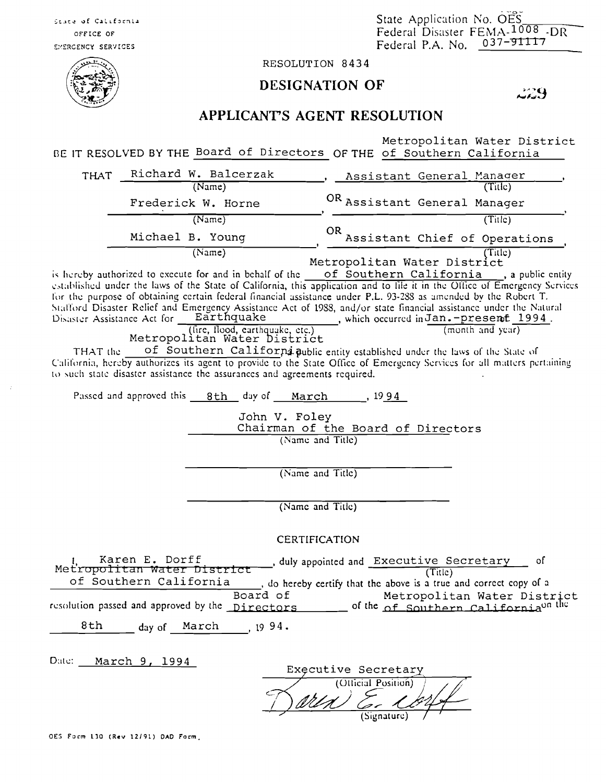State Application No. OES<br>Federal Disaster FEMA-1008 -DR<br>Federal P.A. No. 037-91117

RESOLUTION 8434

## **DESIGNATION OF**

229

## APPLICANT'S AGENT RESOLUTION

Metropolitan Water District BE IT RESOLVED BY THE Board of Directors OF THE of Southern California

| <b>THAT</b>                                                                                                                                                                                                                                                                                                                                                                                                                                                                                                                                                                                                                                                                                                                                                                                                                                                                                                                                                          | Richard W. Balcerzak | Assistant General Manager            |
|----------------------------------------------------------------------------------------------------------------------------------------------------------------------------------------------------------------------------------------------------------------------------------------------------------------------------------------------------------------------------------------------------------------------------------------------------------------------------------------------------------------------------------------------------------------------------------------------------------------------------------------------------------------------------------------------------------------------------------------------------------------------------------------------------------------------------------------------------------------------------------------------------------------------------------------------------------------------|----------------------|--------------------------------------|
|                                                                                                                                                                                                                                                                                                                                                                                                                                                                                                                                                                                                                                                                                                                                                                                                                                                                                                                                                                      | (Name)               | (Title)                              |
|                                                                                                                                                                                                                                                                                                                                                                                                                                                                                                                                                                                                                                                                                                                                                                                                                                                                                                                                                                      | Frederick W. Horne   | OR Assistant General Manager         |
|                                                                                                                                                                                                                                                                                                                                                                                                                                                                                                                                                                                                                                                                                                                                                                                                                                                                                                                                                                      | (Name)               | (Title)                              |
|                                                                                                                                                                                                                                                                                                                                                                                                                                                                                                                                                                                                                                                                                                                                                                                                                                                                                                                                                                      | Michael B. Young     | OR.<br>Assistant Chief of Operations |
| (Name)<br>(Title)<br>Metropolitan Water District                                                                                                                                                                                                                                                                                                                                                                                                                                                                                                                                                                                                                                                                                                                                                                                                                                                                                                                     |                      |                                      |
| is hereby authorized to execute for and in behalf of the of Southern California, a public entity<br>established under the laws of the State of California, this application and to file it in the Office of Emergency Services<br>for the purpose of obtaining certain federal financial assistance under P.L. 93-288 as amended by the Robert T.<br>Stafford Disaster Relief and Emergency Assistance Act of 1988, and/or state financial assistance under the Natural<br>Disaster Assistance Act for Earthquake<br>, which occurred in $\mathtt{Jan.-presenf\_1994}$ .<br>(fire, flood, carthquake, etc.)<br>Metropolitan Water District<br>(month and year)<br>of Southern Californi public entity established under the laws of the State of<br>THAT the<br>California, hereby authorizes its agent to provide to the State Office of Emergency Services for all matters pertaining<br>to such state disaster assistance the assurances and agreements required. |                      |                                      |
| Passed and approved this 8th day of March 1994                                                                                                                                                                                                                                                                                                                                                                                                                                                                                                                                                                                                                                                                                                                                                                                                                                                                                                                       |                      |                                      |
|                                                                                                                                                                                                                                                                                                                                                                                                                                                                                                                                                                                                                                                                                                                                                                                                                                                                                                                                                                      |                      |                                      |
| John V. Foley<br>Chairman of the Board of Directors                                                                                                                                                                                                                                                                                                                                                                                                                                                                                                                                                                                                                                                                                                                                                                                                                                                                                                                  |                      |                                      |
| (Name and Title)                                                                                                                                                                                                                                                                                                                                                                                                                                                                                                                                                                                                                                                                                                                                                                                                                                                                                                                                                     |                      |                                      |
|                                                                                                                                                                                                                                                                                                                                                                                                                                                                                                                                                                                                                                                                                                                                                                                                                                                                                                                                                                      |                      |                                      |
|                                                                                                                                                                                                                                                                                                                                                                                                                                                                                                                                                                                                                                                                                                                                                                                                                                                                                                                                                                      |                      |                                      |
| (Name and Title)                                                                                                                                                                                                                                                                                                                                                                                                                                                                                                                                                                                                                                                                                                                                                                                                                                                                                                                                                     |                      |                                      |
|                                                                                                                                                                                                                                                                                                                                                                                                                                                                                                                                                                                                                                                                                                                                                                                                                                                                                                                                                                      |                      |                                      |
| (Name and Title)                                                                                                                                                                                                                                                                                                                                                                                                                                                                                                                                                                                                                                                                                                                                                                                                                                                                                                                                                     |                      |                                      |
|                                                                                                                                                                                                                                                                                                                                                                                                                                                                                                                                                                                                                                                                                                                                                                                                                                                                                                                                                                      |                      |                                      |
| <b>CERTIFICATION</b>                                                                                                                                                                                                                                                                                                                                                                                                                                                                                                                                                                                                                                                                                                                                                                                                                                                                                                                                                 |                      |                                      |
| Karen E. Dorff<br>duly appointed and Executive Secretary,<br>οf<br>Metropolitan Water District<br>(Title)<br>of Southern California<br>, do hereby certify that the above is a true and correct copy of a<br>Board of<br>Metropolitan Water District<br>resolution passed and approved by the Directors of the of Southern California <sup>on the</sup><br>8th day of March 1994.                                                                                                                                                                                                                                                                                                                                                                                                                                                                                                                                                                                    |                      |                                      |
|                                                                                                                                                                                                                                                                                                                                                                                                                                                                                                                                                                                                                                                                                                                                                                                                                                                                                                                                                                      |                      |                                      |
|                                                                                                                                                                                                                                                                                                                                                                                                                                                                                                                                                                                                                                                                                                                                                                                                                                                                                                                                                                      | Date: March 9, 1994  | Executive Secretary                  |

Contentinon  $(s<sub>ic</sub> - c<sub>nc</sub>)$ 

OES Form 130 (Rev 12/91) DAD Form